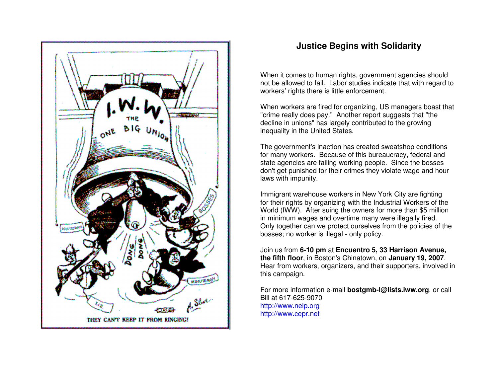

## **Justice Begins with Solidarity**

When it comes to human rights, government agencies should not be allowed to fail. Labor studies indicate that with regard toworkers' rights there is little enforcement.

When workers are fired for organizing, US managers boast that"crime really does pay." Another report suggests that "thedecline in unions" has largely contributed to the growinginequality in the United States.

The government's inaction has created sweatshop conditions for many workers. Because of this bureaucracy, federal and state agencies are failing working people. Since the bosses don't get punished for their crimes they violate wage and hourlaws with impunity.

Immigrant warehouse workers in New York City are fighting for their rights by organizing with the Industrial Workers of the World (IWW). After suing the owners for more than \$5 millionin minimum wages and overtime many were illegally fired. Only together can we protect ourselves from the policies of thebosses; no worker is illegal - only policy.

Join us from **6-10 pm** at **Encuentro 5, 33 Harrison Avenue, the fifth floor**, in Boston's Chinatown, on **January 19, 2007**. Hear from workers, organizers, and their supporters, involved inthis campaign.

For more information e-mail **bostgmb-l@lists.iww.org**, or callBill at 617-625-9070 http://www.nelp.orghttp://www.cepr.net